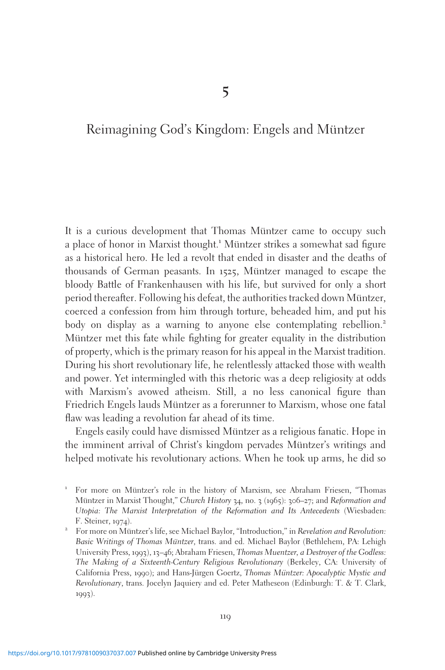# Reimagining God's Kingdom: Engels and Müntzer

It is a curious development that Thomas Müntzer came to occupy such a place of honor in Marxist thought.<sup>1</sup> Müntzer strikes a somewhat sad figure as a historical hero. He led a revolt that ended in disaster and the deaths of thousands of German peasants. In 1525, Müntzer managed to escape the bloody Battle of Frankenhausen with his life, but survived for only a short period thereafter. Following his defeat, the authorities tracked down Müntzer, coerced a confession from him through torture, beheaded him, and put his body on display as a warning to anyone else contemplating rebellion.<sup>2</sup> Müntzer met this fate while fighting for greater equality in the distribution of property, which is the primary reason for his appeal in the Marxist tradition. During his short revolutionary life, he relentlessly attacked those with wealth and power. Yet intermingled with this rhetoric was a deep religiosity at odds with Marxism's avowed atheism. Still, a no less canonical figure than Friedrich Engels lauds Müntzer as a forerunner to Marxism, whose one fatal flaw was leading a revolution far ahead of its time.

Engels easily could have dismissed Müntzer as a religious fanatic. Hope in the imminent arrival of Christ's kingdom pervades Müntzer's writings and helped motivate his revolutionary actions. When he took up arms, he did so

 $1$  For more on Müntzer's role in the history of Marxism, see Abraham Friesen, "Thomas Müntzer in Marxist Thought," Church History 34, no. 3 (1965): 306–27; and Reformation and Utopia: The Marxist Interpretation of the Reformation and Its Antecedents (Wiesbaden: F. Steiner, 1974).

<sup>&</sup>lt;sup>2</sup> For more on Müntzer's life, see Michael Baylor, "Introduction," in Revelation and Revolution: Basic Writings of Thomas Müntzer, trans. and ed. Michael Baylor (Bethlehem, PA: Lehigh University Press, 1993), 13–46; Abraham Friesen, Thomas Muentzer, a Destroyer of the Godless: The Making of a Sixteenth-Century Religious Revolutionary (Berkeley, CA: University of California Press, 1990); and Hans-Jürgen Goertz, Thomas Müntzer: Apocalyptic Mystic and Revolutionary, trans. Jocelyn Jaquiery and ed. Peter Matheseon (Edinburgh: T. & T. Clark, 1993).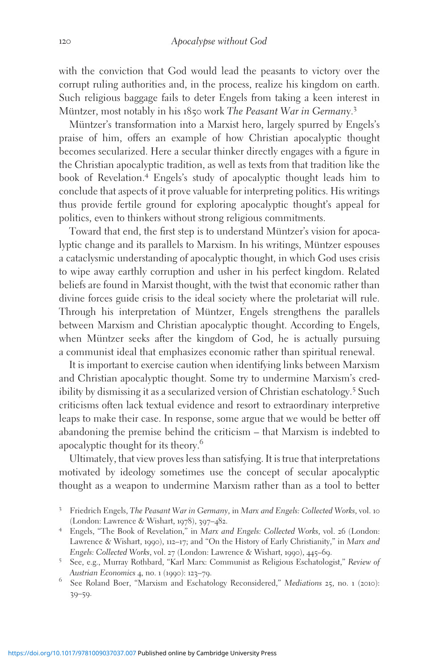with the conviction that God would lead the peasants to victory over the corrupt ruling authorities and, in the process, realize his kingdom on earth. Such religious baggage fails to deter Engels from taking a keen interest in Müntzer, most notably in his 1850 work The Peasant War in Germany.<sup>3</sup>

Müntzer's transformation into a Marxist hero, largely spurred by Engels's praise of him, offers an example of how Christian apocalyptic thought becomes secularized. Here a secular thinker directly engages with a figure in the Christian apocalyptic tradition, as well as texts from that tradition like the book of Revelation.<sup>4</sup> Engels's study of apocalyptic thought leads him to conclude that aspects of it prove valuable for interpreting politics. His writings thus provide fertile ground for exploring apocalyptic thought's appeal for politics, even to thinkers without strong religious commitments.

Toward that end, the first step is to understand Müntzer's vision for apocalyptic change and its parallels to Marxism. In his writings, Müntzer espouses a cataclysmic understanding of apocalyptic thought, in which God uses crisis to wipe away earthly corruption and usher in his perfect kingdom. Related beliefs are found in Marxist thought, with the twist that economic rather than divine forces guide crisis to the ideal society where the proletariat will rule. Through his interpretation of Müntzer, Engels strengthens the parallels between Marxism and Christian apocalyptic thought. According to Engels, when Müntzer seeks after the kingdom of God, he is actually pursuing a communist ideal that emphasizes economic rather than spiritual renewal.

It is important to exercise caution when identifying links between Marxism and Christian apocalyptic thought. Some try to undermine Marxism's credibility by dismissing it as a secularized version of Christian eschatology.<sup>5</sup> Such criticisms often lack textual evidence and resort to extraordinary interpretive leaps to make their case. In response, some argue that we would be better off abandoning the premise behind the criticism – that Marxism is indebted to apocalyptic thought for its theory.<sup>6</sup>

Ultimately, that view proves less than satisfying. It is true that interpretations motivated by ideology sometimes use the concept of secular apocalyptic thought as a weapon to undermine Marxism rather than as a tool to better

<sup>&</sup>lt;sup>3</sup> Friedrich Engels, *The Peasant War in Germany*, in *Marx and Engels: Collected Works*, vol. 10 (London: Lawrence & Wishart, 1978), 397–482.

<sup>&</sup>lt;sup>4</sup> Engels, "The Book of Revelation," in Marx and Engels: Collected Works, vol. 26 (London: Lawrence & Wishart, 1990), 112–17; and "On the History of Early Christianity," in Marx and

Engels: Collected Works, vol. 27 (London: Lawrence & Wishart, 1990), 445–69.<br>
<sup>5</sup> See, e.g., Murray Rothbard, "Karl Marx: Communist as Religious Eschatologist," *Review of* Austrian Economics 4, no. 1 (1990): 123–79.

 $6$  See Roland Boer, "Marxism and Eschatology Reconsidered," Mediations 25, no. 1 (2010): 39–59.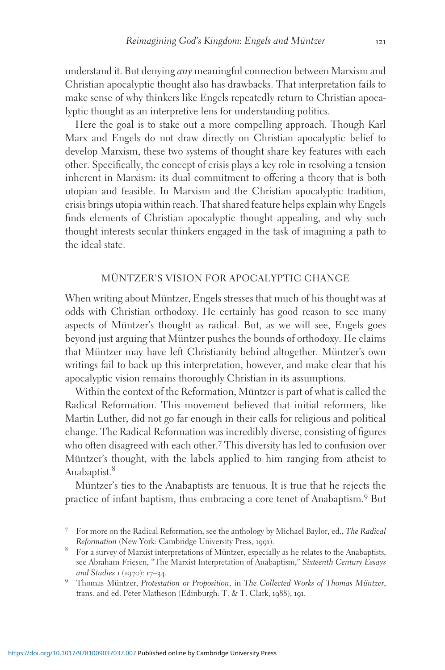understand it. But denying any meaningful connection between Marxism and Christian apocalyptic thought also has drawbacks. That interpretation fails to make sense of why thinkers like Engels repeatedly return to Christian apocalyptic thought as an interpretive lens for understanding politics.

Here the goal is to stake out a more compelling approach. Though Karl Marx and Engels do not draw directly on Christian apocalyptic belief to develop Marxism, these two systems of thought share key features with each other. Specifically, the concept of crisis plays a key role in resolving a tension inherent in Marxism: its dual commitment to offering a theory that is both utopian and feasible. In Marxism and the Christian apocalyptic tradition, crisis brings utopia within reach. That shared feature helps explain why Engels finds elements of Christian apocalyptic thought appealing, and why such thought interests secular thinkers engaged in the task of imagining a path to the ideal state.

### MÜNTZER'S VISION FOR APOCALYPTIC CHANGE

When writing about Müntzer, Engels stresses that much of his thought was at odds with Christian orthodoxy. He certainly has good reason to see many aspects of Müntzer's thought as radical. But, as we will see, Engels goes beyond just arguing that Müntzer pushes the bounds of orthodoxy. He claims that Müntzer may have left Christianity behind altogether. Müntzer's own writings fail to back up this interpretation, however, and make clear that his apocalyptic vision remains thoroughly Christian in its assumptions.

Within the context of the Reformation, Müntzer is part of what is called the Radical Reformation. This movement believed that initial reformers, like Martin Luther, did not go far enough in their calls for religious and political change. The Radical Reformation was incredibly diverse, consisting of figures who often disagreed with each other.<sup>7</sup> This diversity has led to confusion over Müntzer's thought, with the labels applied to him ranging from atheist to Anabaptist.<sup>8</sup>

Müntzer's ties to the Anabaptists are tenuous. It is true that he rejects the practice of infant baptism, thus embracing a core tenet of Anabaptism.<sup>9</sup> But

<sup>7</sup> For more on the Radical Reformation, see the anthology by Michael Baylor, ed., The Radical

Reformation (New York: Cambridge University Press, 1991). <br> 8 For a survey of Marxist interpretations of Müntzer, especially as he relates to the Anabaptists, see Abraham Friesen, "The Marxist Interpretation of Anabaptism," Sixteenth Century Essays

and Studies 1 (1970): 17–34.<br><sup>9</sup> Thomas Müntzer, *Protestation or Proposition*, in The Collected Works of Thomas Müntzer, trans. and ed. Peter Matheson (Edinburgh: T. & T. Clark, 1988), 191.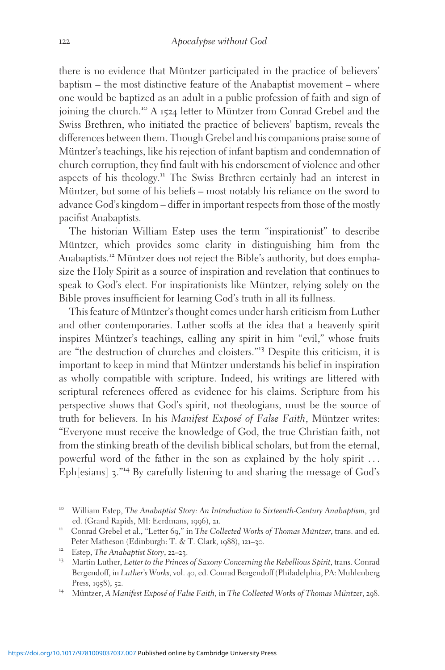there is no evidence that Müntzer participated in the practice of believers' baptism – the most distinctive feature of the Anabaptist movement – where one would be baptized as an adult in a public profession of faith and sign of joining the church.<sup>10</sup> A 1524 letter to Müntzer from Conrad Grebel and the Swiss Brethren, who initiated the practice of believers' baptism, reveals the differences between them. Though Grebel and his companions praise some of Müntzer's teachings, like his rejection of infant baptism and condemnation of church corruption, they find fault with his endorsement of violence and other aspects of his theology.<sup>11</sup> The Swiss Brethren certainly had an interest in Müntzer, but some of his beliefs – most notably his reliance on the sword to advance God's kingdom – differ in important respects from those of the mostly pacifist Anabaptists.

The historian William Estep uses the term "inspirationist" to describe Müntzer, which provides some clarity in distinguishing him from the Anabaptists.<sup>12</sup> Müntzer does not reject the Bible's authority, but does emphasize the Holy Spirit as a source of inspiration and revelation that continues to speak to God's elect. For inspirationists like Müntzer, relying solely on the Bible proves insufficient for learning God's truth in all its fullness.

This feature of Müntzer's thought comes under harsh criticism from Luther and other contemporaries. Luther scoffs at the idea that a heavenly spirit inspires Müntzer's teachings, calling any spirit in him "evil," whose fruits are "the destruction of churches and cloisters."<sup>13</sup> Despite this criticism, it is important to keep in mind that Müntzer understands his belief in inspiration as wholly compatible with scripture. Indeed, his writings are littered with scriptural references offered as evidence for his claims. Scripture from his perspective shows that God's spirit, not theologians, must be the source of truth for believers. In his Manifest Exposé of False Faith, Müntzer writes: "Everyone must receive the knowledge of God, the true Christian faith, not from the stinking breath of the devilish biblical scholars, but from the eternal, powerful word of the father in the son as explained by the holy spirit ... Eph[esians] <sup>3</sup>."<sup>14</sup> By carefully listening to and sharing the message of God's

<sup>&</sup>lt;sup>10</sup> William Estep, *The Anabaptist Story: An Introduction to Sixteenth-Century Anabaptism*, 3rd ed. (Grand Rapids, MI: Eerdmans, 1996), 21.

<sup>&</sup>lt;sup>11</sup> Conrad Grebel et al., "Letter 69," in *The Collected Works of Thomas Müntzer*, trans. and ed.<br>Peter Matheson (Edinburgh: T. & T. Clark, 1988), 121–30.

<sup>&</sup>lt;sup>12</sup> Estep, The Anabaptist Story, 22–23.<br><sup>13</sup> Martin Luther, *Letter to the Princes of Saxony Concerning the Rebellious Spirit*, trans. Conrad Bergendoff, in Luther's Works, vol. 40, ed. Conrad Bergendoff (Philadelphia, PA: Muhlenberg Press, 1958), 52.<br><sup>14</sup> Müntzer, A Manifest Exposé of False Faith, in The Collected Works of Thomas Müntzer, 298.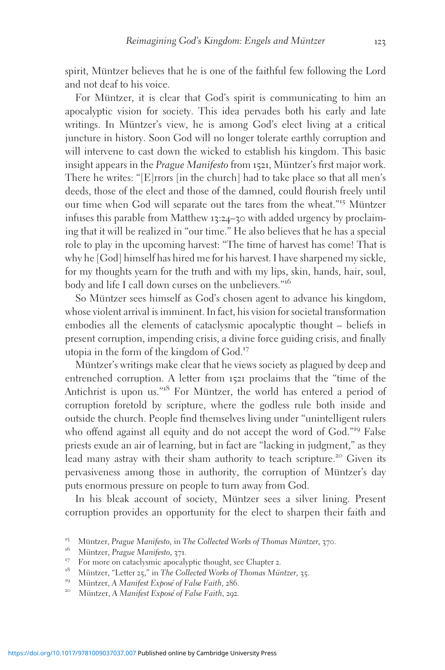spirit, Müntzer believes that he is one of the faithful few following the Lord and not deaf to his voice.

For Müntzer, it is clear that God's spirit is communicating to him an apocalyptic vision for society. This idea pervades both his early and late writings. In Müntzer's view, he is among God's elect living at a critical juncture in history. Soon God will no longer tolerate earthly corruption and will intervene to cast down the wicked to establish his kingdom. This basic insight appears in the Prague Manifesto from 1521, Müntzer's first major work. There he writes: "[E]rrors [in the church] had to take place so that all men's deeds, those of the elect and those of the damned, could flourish freely until our time when God will separate out the tares from the wheat."<sup>15</sup> Müntzer infuses this parable from Matthew 13:24–30 with added urgency by proclaiming that it will be realized in "our time." He also believes that he has a special role to play in the upcoming harvest: "The time of harvest has come! That is why he [God] himself has hired me for his harvest. I have sharpened my sickle, for my thoughts yearn for the truth and with my lips, skin, hands, hair, soul, body and life I call down curses on the unbelievers."<sup>16</sup>

So Müntzer sees himself as God's chosen agent to advance his kingdom, whose violent arrival is imminent. In fact, his vision for societal transformation embodies all the elements of cataclysmic apocalyptic thought – beliefs in present corruption, impending crisis, a divine force guiding crisis, and finally utopia in the form of the kingdom of God.<sup>17</sup>

Müntzer's writings make clear that he views society as plagued by deep and entrenched corruption. A letter from 1521 proclaims that the "time of the Antichrist is upon us."<sup>18</sup> For Müntzer, the world has entered a period of corruption foretold by scripture, where the godless rule both inside and outside the church. People find themselves living under "unintelligent rulers who offend against all equity and do not accept the word of God."<sup>19</sup> False priests exude an air of learning, but in fact are "lacking in judgment," as they lead many astray with their sham authority to teach scripture.<sup>20</sup> Given its pervasiveness among those in authority, the corruption of Müntzer's day puts enormous pressure on people to turn away from God.

In his bleak account of society, Müntzer sees a silver lining. Present corruption provides an opportunity for the elect to sharpen their faith and

<sup>&</sup>lt;sup>15</sup> Müntzer, Prague Manifesto, in The Collected Works of Thomas Müntzer, 370.<br><sup>16</sup> Müntzer, Prague Manifesto, 371.<br><sup>17</sup> For more on cataclysmic apocalyptic thought, see Chapter 2.<br><sup>18</sup> Müntzer, "Letter 25," in The Collec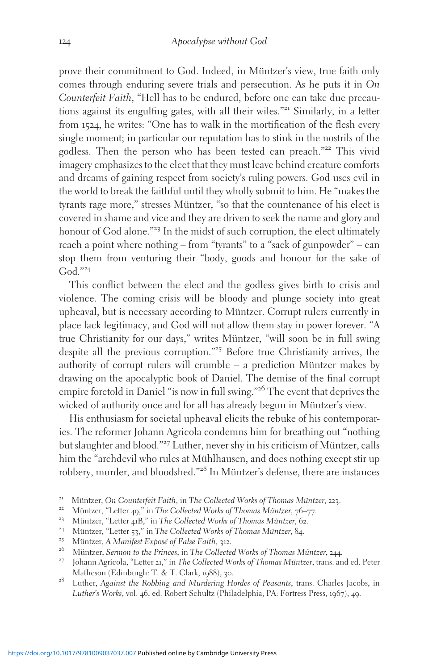prove their commitment to God. Indeed, in Müntzer's view, true faith only comes through enduring severe trials and persecution. As he puts it in On Counterfeit Faith, "Hell has to be endured, before one can take due precautions against its engulfing gates, with all their wiles."<sup>21</sup> Similarly, in a letter from 1524, he writes: "One has to walk in the mortification of the flesh every single moment; in particular our reputation has to stink in the nostrils of the godless. Then the person who has been tested can preach."<sup>22</sup> This vivid imagery emphasizes to the elect that they must leave behind creature comforts and dreams of gaining respect from society's ruling powers. God uses evil in the world to break the faithful until they wholly submit to him. He "makes the tyrants rage more," stresses Müntzer, "so that the countenance of his elect is covered in shame and vice and they are driven to seek the name and glory and honour of God alone."<sup>23</sup> In the midst of such corruption, the elect ultimately reach a point where nothing – from "tyrants" to a "sack of gunpowder" – can stop them from venturing their "body, goods and honour for the sake of God $^{\prime\prime24}$ 

This conflict between the elect and the godless gives birth to crisis and violence. The coming crisis will be bloody and plunge society into great upheaval, but is necessary according to Müntzer. Corrupt rulers currently in place lack legitimacy, and God will not allow them stay in power forever. "A true Christianity for our days," writes Müntzer, "will soon be in full swing despite all the previous corruption."<sup>25</sup> Before true Christianity arrives, the authority of corrupt rulers will crumble  $-$  a prediction Müntzer makes by drawing on the apocalyptic book of Daniel. The demise of the final corrupt empire foretold in Daniel "is now in full swing."<sup>26</sup> The event that deprives the wicked of authority once and for all has already begun in Müntzer's view.

His enthusiasm for societal upheaval elicits the rebuke of his contemporaries. The reformer Johann Agricola condemns him for breathing out "nothing but slaughter and blood."<sup>27</sup> Luther, never shy in his criticism of Müntzer, calls him the "archdevil who rules at Mühlhausen, and does nothing except stir up robbery, murder, and bloodshed."<sup>28</sup> In Müntzer's defense, there are instances

- 
- 
- 
- <sup>21</sup> Müntzer, On Counterfeit Faith, in The Collected Works of Thomas Müntzer, 223.<br><sup>22</sup> Müntzer, "Letter 49," in The Collected Works of Thomas Müntzer, 76–77.<br><sup>23</sup> Müntzer, "Letter 41B," in The Collected Works of Thomas M
- Matheson (Edinburgh: T. & T. Clark, 1988), 30.<br>Luther, Against the Robbing and Murdering Hordes of Peasants, trans. Charles Jacobs, in
- Luther's Works, vol. 46, ed. Robert Schultz (Philadelphia, PA: Fortress Press, 1967), 49.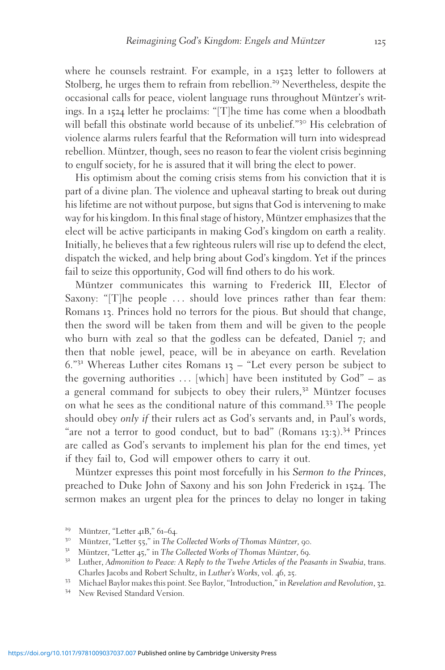where he counsels restraint. For example, in a 1523 letter to followers at Stolberg, he urges them to refrain from rebellion.<sup>29</sup> Nevertheless, despite the occasional calls for peace, violent language runs throughout Müntzer's writings. In a 1524 letter he proclaims: "[T]he time has come when a bloodbath will befall this obstinate world because of its unbelief."<sup>30</sup> His celebration of violence alarms rulers fearful that the Reformation will turn into widespread rebellion. Müntzer, though, sees no reason to fear the violent crisis beginning to engulf society, for he is assured that it will bring the elect to power.

His optimism about the coming crisis stems from his conviction that it is part of a divine plan. The violence and upheaval starting to break out during his lifetime are not without purpose, but signs that God is intervening to make way for his kingdom. In this final stage of history, Müntzer emphasizes that the elect will be active participants in making God's kingdom on earth a reality. Initially, he believes that a few righteous rulers will rise up to defend the elect, dispatch the wicked, and help bring about God's kingdom. Yet if the princes fail to seize this opportunity, God will find others to do his work.

Müntzer communicates this warning to Frederick III, Elector of Saxony: "[T]he people ... should love princes rather than fear them: Romans 13. Princes hold no terrors for the pious. But should that change, then the sword will be taken from them and will be given to the people who burn with zeal so that the godless can be defeated, Daniel 7; and then that noble jewel, peace, will be in abeyance on earth. Revelation  $6.^{"31}$  Whereas Luther cites Romans 13 – "Let every person be subject to the governing authorities  $\dots$  [which] have been instituted by  $God'' - as$ a general command for subjects to obey their rulers,<sup>32</sup> Müntzer focuses on what he sees as the conditional nature of this command.<sup>33</sup> The people should obey only if their rulers act as God's servants and, in Paul's words, "are not a terror to good conduct, but to bad" (Romans 13:3).<sup>34</sup> Princes are called as God's servants to implement his plan for the end times, yet if they fail to, God will empower others to carry it out.

Müntzer expresses this point most forcefully in his Sermon to the Princes, preached to Duke John of Saxony and his son John Frederick in 1524. The sermon makes an urgent plea for the princes to delay no longer in taking

<sup>&</sup>lt;sup>29</sup> Müntzer, "Letter 41B," 61–64.<br><sup>30</sup> Müntzer, "Letter 55," in *The Collected Works of Thomas Müntzer*, 90.<br><sup>31</sup> Müntzer, "Letter 45," in *The Collected Works of Thomas Müntzer*, 69.<br><sup>32</sup> Luther, *Admonition to Peace: A* Charles Jacobs and Robert Schultz, in *Luther's Works*, vol. 46, 25.<br><sup>33</sup> Michael Baylor makes this point. See Baylor, "Introduction," in *Revelation and Revolution*, 32.<br><sup>34</sup> New Revised Standard Version.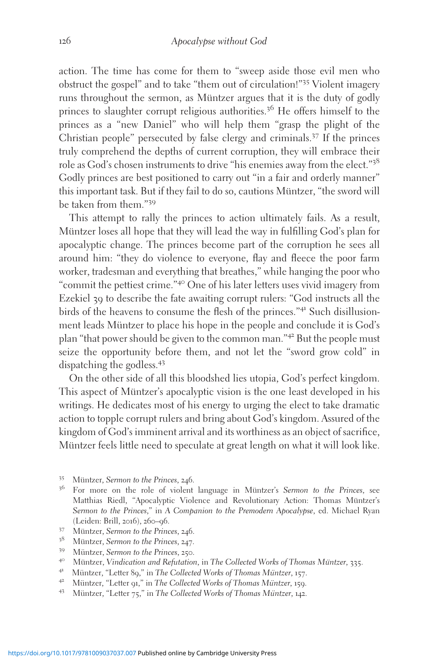action. The time has come for them to "sweep aside those evil men who obstruct the gospel" and to take "them out of circulation!"<sup>35</sup> Violent imagery runs throughout the sermon, as Müntzer argues that it is the duty of godly princes to slaughter corrupt religious authorities.<sup>36</sup> He offers himself to the princes as a "new Daniel" who will help them "grasp the plight of the Christian people" persecuted by false clergy and criminals.<sup>37</sup> If the princes truly comprehend the depths of current corruption, they will embrace their role as God's chosen instruments to drive "his enemies away from the elect."<sup>38</sup> Godly princes are best positioned to carry out "in a fair and orderly manner" this important task. But if they fail to do so, cautions Müntzer, "the sword will be taken from them."<sup>39</sup>

This attempt to rally the princes to action ultimately fails. As a result, Müntzer loses all hope that they will lead the way in fulfilling God's plan for apocalyptic change. The princes become part of the corruption he sees all around him: "they do violence to everyone, flay and fleece the poor farm worker, tradesman and everything that breathes," while hanging the poor who "commit the pettiest crime."<sup>40</sup> One of his later letters uses vivid imagery from Ezekiel 39 to describe the fate awaiting corrupt rulers: "God instructs all the birds of the heavens to consume the flesh of the princes."<sup>41</sup> Such disillusionment leads Müntzer to place his hope in the people and conclude it is God's plan "that power should be given to the common man."<sup>42</sup> But the people must seize the opportunity before them, and not let the "sword grow cold" in dispatching the godless.<sup>43</sup>

On the other side of all this bloodshed lies utopia, God's perfect kingdom. This aspect of Müntzer's apocalyptic vision is the one least developed in his writings. He dedicates most of his energy to urging the elect to take dramatic action to topple corrupt rulers and bring about God's kingdom. Assured of the kingdom of God's imminent arrival and its worthiness as an object of sacrifice, Müntzer feels little need to speculate at great length on what it will look like.

- 
- <sup>35</sup> Müntzer, Sermon to the Princes, 246.<br><sup>36</sup> For more on the role of violent language in Müntzer's Sermon to the Princes, see Matthias Riedl, "Apocalyptic Violence and Revolutionary Action: Thomas Müntzer's Sermon to the Princes," in A Companion to the Premodern Apocalypse, ed. Michael Ryan (Leiden: Brill, 2016), 260-96.
- 
- 
- 
- <sup>37</sup> Müntzer, Sermon to the Princes, 246.<br><sup>38</sup> Müntzer, Sermon to the Princes, 247.<br><sup>39</sup> Müntzer, Sermon to the Princes, 250.<br><sup>40</sup> Müntzer, Vindication and Refutation, in The Collected Works of Thomas Müntzer, 335.<br><sup>41</sup> M
- 
- 
-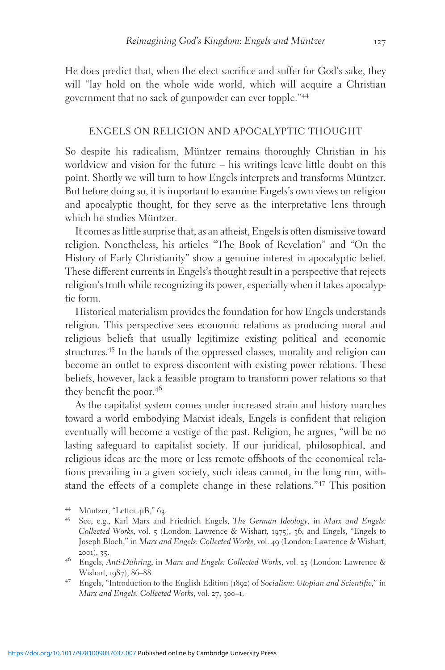He does predict that, when the elect sacrifice and suffer for God's sake, they will "lay hold on the whole wide world, which will acquire a Christian government that no sack of gunpowder can ever topple."<sup>44</sup>

#### ENGELS ON RELIGION AND APOCALYPTIC THOUGHT

So despite his radicalism, Müntzer remains thoroughly Christian in his worldview and vision for the future – his writings leave little doubt on this point. Shortly we will turn to how Engels interprets and transforms Müntzer. But before doing so, it is important to examine Engels's own views on religion and apocalyptic thought, for they serve as the interpretative lens through which he studies Müntzer.

It comes as little surprise that, as an atheist, Engels is often dismissive toward religion. Nonetheless, his articles "The Book of Revelation" and "On the History of Early Christianity" show a genuine interest in apocalyptic belief. These different currents in Engels's thought result in a perspective that rejects religion's truth while recognizing its power, especially when it takes apocalyptic form.

Historical materialism provides the foundation for how Engels understands religion. This perspective sees economic relations as producing moral and religious beliefs that usually legitimize existing political and economic structures.<sup>45</sup> In the hands of the oppressed classes, morality and religion can become an outlet to express discontent with existing power relations. These beliefs, however, lack a feasible program to transform power relations so that they benefit the poor.<sup>46</sup>

As the capitalist system comes under increased strain and history marches toward a world embodying Marxist ideals, Engels is confident that religion eventually will become a vestige of the past. Religion, he argues, "will be no lasting safeguard to capitalist society. If our juridical, philosophical, and religious ideas are the more or less remote offshoots of the economical relations prevailing in a given society, such ideas cannot, in the long run, withstand the effects of a complete change in these relations."<sup>47</sup> This position

<sup>&</sup>lt;sup>44</sup> Müntzer, "Letter 41B," 63.<br><sup>45</sup> See, e.g., Karl Marx and Friedrich Engels, *The German Ideology*, in Marx and Engels: Collected Works, vol. 5 (London: Lawrence & Wishart, 1975), 36; and Engels, "Engels to Joseph Bloch," in Marx and Engels: Collected Works, vol. 49 (London: Lawrence & Wishart, 2001), 35.<br><sup>46</sup> Engels, Anti-Dühring, in Marx and Engels: Collected Works, vol. 25 (London: Lawrence &

Wishart, 1987), 86–88.<br><sup>47</sup> Engels, "Introduction to the English Edition (1892) of Socialism: Utopian and Scientific," in

Marx and Engels: Collected Works, vol. 27, 300–1.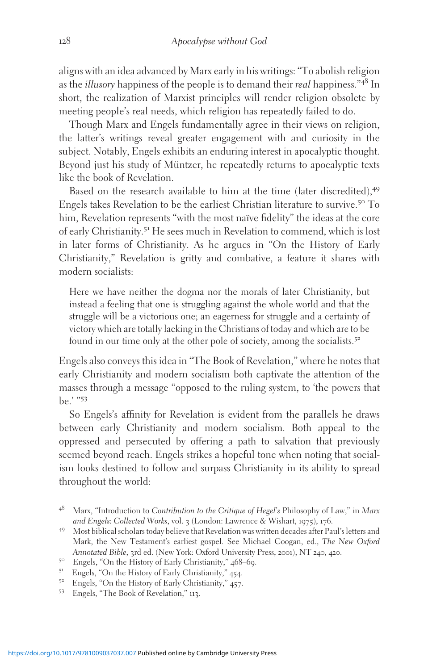aligns with an idea advanced by Marx early in his writings: "To abolish religion as the *illusory* happiness of the people is to demand their *real* happiness.<sup>"48</sup> In short, the realization of Marxist principles will render religion obsolete by meeting people's real needs, which religion has repeatedly failed to do.

Though Marx and Engels fundamentally agree in their views on religion, the latter's writings reveal greater engagement with and curiosity in the subject. Notably, Engels exhibits an enduring interest in apocalyptic thought. Beyond just his study of Müntzer, he repeatedly returns to apocalyptic texts like the book of Revelation.

Based on the research available to him at the time (later discredited),<sup>49</sup> Engels takes Revelation to be the earliest Christian literature to survive.<sup>50</sup> To him, Revelation represents "with the most naïve fidelity" the ideas at the core of early Christianity.<sup>51</sup> He sees much in Revelation to commend, which is lost in later forms of Christianity. As he argues in "On the History of Early Christianity," Revelation is gritty and combative, a feature it shares with modern socialists:

Here we have neither the dogma nor the morals of later Christianity, but instead a feeling that one is struggling against the whole world and that the struggle will be a victorious one; an eagerness for struggle and a certainty of victory which are totally lacking in the Christians of today and which are to be found in our time only at the other pole of society, among the socialists.<sup>52</sup>

Engels also conveys this idea in "The Book of Revelation," where he notes that early Christianity and modern socialism both captivate the attention of the masses through a message "opposed to the ruling system, to 'the powers that be.' "<sup>53</sup>

So Engels's affinity for Revelation is evident from the parallels he draws between early Christianity and modern socialism. Both appeal to the oppressed and persecuted by offering a path to salvation that previously seemed beyond reach. Engels strikes a hopeful tone when noting that socialism looks destined to follow and surpass Christianity in its ability to spread throughout the world:

Marx, "Introduction to Contribution to the Critique of Hegel's Philosophy of Law," in Marx and Engels: Collected Works, vol. 3 (London: Lawrence & Wishart, 1975), 176.

<sup>&</sup>lt;sup>49</sup> Most biblical scholars today believe that Revelation was written decades after Paul's letters and Mark, the New Testament's earliest gospel. See Michael Coogan, ed., The New Oxford Annotated Bible, 3rd ed. (New York: Oxford University Press, 2001), NT 240, 420.<br>
<sup>50</sup> Engels, "On the History of Early Christianity," 468–69.<br>
<sup>51</sup> Engels, "On the History of Early Christianity," 454.<br>
<sup>52</sup> Engels, "On th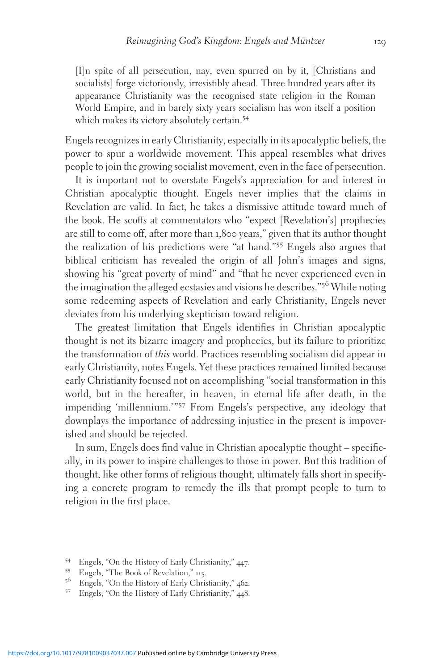[I]n spite of all persecution, nay, even spurred on by it, [Christians and socialists] forge victoriously, irresistibly ahead. Three hundred years after its appearance Christianity was the recognised state religion in the Roman World Empire, and in barely sixty years socialism has won itself a position which makes its victory absolutely certain.<sup>54</sup>

Engels recognizes in early Christianity, especially in its apocalyptic beliefs, the power to spur a worldwide movement. This appeal resembles what drives people to join the growing socialist movement, even in the face of persecution.

It is important not to overstate Engels's appreciation for and interest in Christian apocalyptic thought. Engels never implies that the claims in Revelation are valid. In fact, he takes a dismissive attitude toward much of the book. He scoffs at commentators who "expect [Revelation's] prophecies are still to come off, after more than 1,800 years," given that its author thought the realization of his predictions were "at hand."<sup>55</sup> Engels also argues that biblical criticism has revealed the origin of all John's images and signs, showing his "great poverty of mind" and "that he never experienced even in the imagination the alleged ecstasies and visions he describes."<sup>56</sup> While noting some redeeming aspects of Revelation and early Christianity, Engels never deviates from his underlying skepticism toward religion.

The greatest limitation that Engels identifies in Christian apocalyptic thought is not its bizarre imagery and prophecies, but its failure to prioritize the transformation of this world. Practices resembling socialism did appear in early Christianity, notes Engels. Yet these practices remained limited because early Christianity focused not on accomplishing "social transformation in this world, but in the hereafter, in heaven, in eternal life after death, in the impending 'millennium.'"<sup>57</sup> From Engels's perspective, any ideology that downplays the importance of addressing injustice in the present is impoverished and should be rejected.

In sum, Engels does find value in Christian apocalyptic thought – specifically, in its power to inspire challenges to those in power. But this tradition of thought, like other forms of religious thought, ultimately falls short in specifying a concrete program to remedy the ills that prompt people to turn to religion in the first place.

- 54 Engels, "On the History of Early Christianity," 447.<br>55 Engels, "The Book of Revelation," 115.<br>56 Engels, "On the History of Early Christianity," 462.<br>57 Engels, "On the History of Early Christianity," 448.
-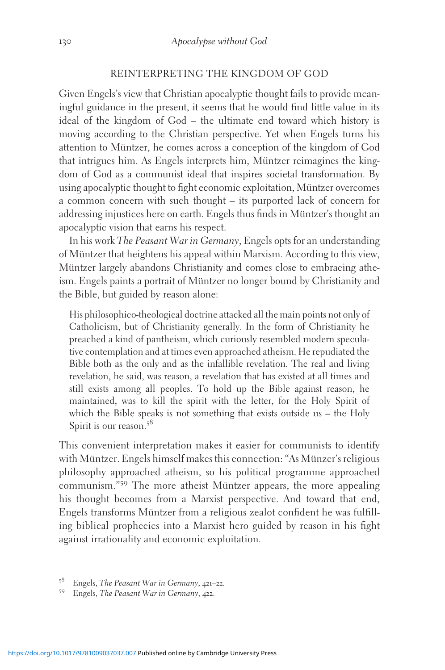## REINTERPRETING THE KINGDOM OF GOD

Given Engels's view that Christian apocalyptic thought fails to provide meaningful guidance in the present, it seems that he would find little value in its ideal of the kingdom of God – the ultimate end toward which history is moving according to the Christian perspective. Yet when Engels turns his attention to Müntzer, he comes across a conception of the kingdom of God that intrigues him. As Engels interprets him, Müntzer reimagines the kingdom of God as a communist ideal that inspires societal transformation. By using apocalyptic thought to fight economic exploitation, Müntzer overcomes a common concern with such thought – its purported lack of concern for addressing injustices here on earth. Engels thus finds in Müntzer's thought an apocalyptic vision that earns his respect.

In his work The Peasant War in Germany, Engels opts for an understanding of Müntzer that heightens his appeal within Marxism. According to this view, Müntzer largely abandons Christianity and comes close to embracing atheism. Engels paints a portrait of Müntzer no longer bound by Christianity and the Bible, but guided by reason alone:

His philosophico-theological doctrine attacked all the main points not only of Catholicism, but of Christianity generally. In the form of Christianity he preached a kind of pantheism, which curiously resembled modern speculative contemplation and at times even approached atheism. He repudiated the Bible both as the only and as the infallible revelation. The real and living revelation, he said, was reason, a revelation that has existed at all times and still exists among all peoples. To hold up the Bible against reason, he maintained, was to kill the spirit with the letter, for the Holy Spirit of which the Bible speaks is not something that exists outside us – the Holy Spirit is our reason.<sup>58</sup>

This convenient interpretation makes it easier for communists to identify with Müntzer. Engels himself makes this connection: "As Münzer's religious philosophy approached atheism, so his political programme approached communism."<sup>59</sup> The more atheist Müntzer appears, the more appealing his thought becomes from a Marxist perspective. And toward that end, Engels transforms Müntzer from a religious zealot confident he was fulfilling biblical prophecies into a Marxist hero guided by reason in his fight against irrationality and economic exploitation.

<sup>&</sup>lt;sup>58</sup> Engels, *The Peasant War in Germany*, 421–22.<br><sup>59</sup> Engels, *The Peasant War in Germany*, 422.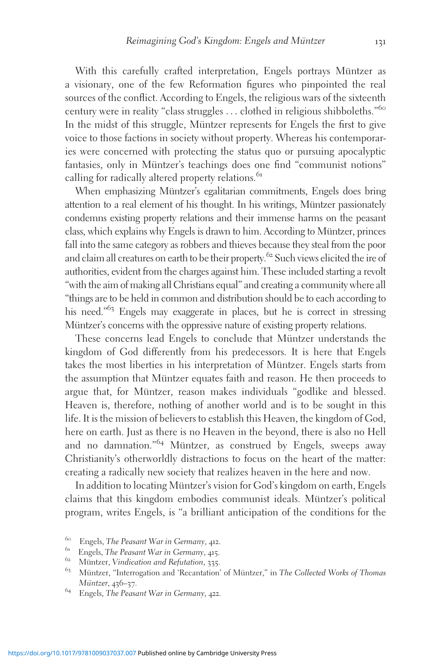With this carefully crafted interpretation, Engels portrays Müntzer as a visionary, one of the few Reformation figures who pinpointed the real sources of the conflict. According to Engels, the religious wars of the sixteenth century were in reality "class struggles ... clothed in religious shibboleths."<sup>60</sup> In the midst of this struggle, Müntzer represents for Engels the first to give voice to those factions in society without property. Whereas his contemporaries were concerned with protecting the status quo or pursuing apocalyptic fantasies, only in Müntzer's teachings does one find "communist notions" calling for radically altered property relations.<sup>61</sup>

When emphasizing Müntzer's egalitarian commitments, Engels does bring attention to a real element of his thought. In his writings, Müntzer passionately condemns existing property relations and their immense harms on the peasant class, which explains why Engels is drawn to him. According to Müntzer, princes fall into the same category as robbers and thieves because they steal from the poor and claim all creatures on earth to be their property.<sup>62</sup> Such views elicited the ire of authorities, evident from the charges against him. These included starting a revolt "with the aim of making all Christians equal" and creating a community where all "things are to be held in common and distribution should be to each according to his need."<sup>63</sup> Engels may exaggerate in places, but he is correct in stressing Müntzer's concerns with the oppressive nature of existing property relations.

These concerns lead Engels to conclude that Müntzer understands the kingdom of God differently from his predecessors. It is here that Engels takes the most liberties in his interpretation of Müntzer. Engels starts from the assumption that Müntzer equates faith and reason. He then proceeds to argue that, for Müntzer, reason makes individuals "godlike and blessed. Heaven is, therefore, nothing of another world and is to be sought in this life. It is the mission of believers to establish this Heaven, the kingdom of God, here on earth. Just as there is no Heaven in the beyond, there is also no Hell and no damnation."<sup>64</sup> Müntzer, as construed by Engels, sweeps away Christianity's otherworldly distractions to focus on the heart of the matter: creating a radically new society that realizes heaven in the here and now.

In addition to locating Müntzer's vision for God's kingdom on earth, Engels claims that this kingdom embodies communist ideals. Müntzer's political program, writes Engels, is "a brilliant anticipation of the conditions for the

<sup>&</sup>lt;sup>60</sup> Engels, *The Peasant War in Germany*, 412.<br><sup>61</sup> Engels, *The Peasant War in Germany*, 415.<br><sup>62</sup> Müntzer, *Vindication and Refutation*, 335.<br><sup>63</sup> Müntzer, "Interrogation and 'Recantation' of Müntzer," in *The Collecte* Müntzer, 436–37.<br><sup>64</sup> Engels, *The Peasant War in Germany*, 422.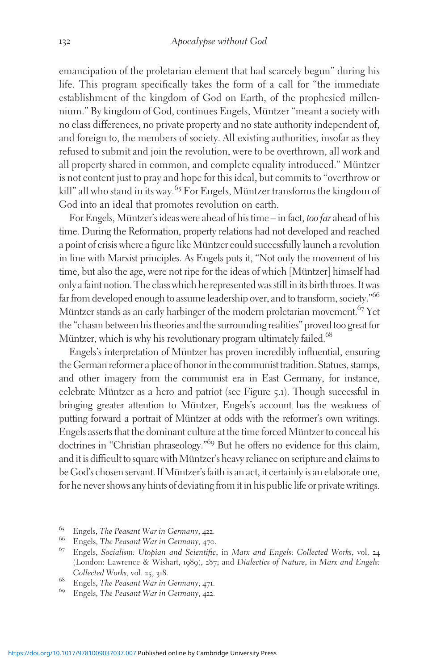emancipation of the proletarian element that had scarcely begun" during his life. This program specifically takes the form of a call for "the immediate establishment of the kingdom of God on Earth, of the prophesied millennium." By kingdom of God, continues Engels, Müntzer "meant a society with no class differences, no private property and no state authority independent of, and foreign to, the members of society. All existing authorities, insofar as they refused to submit and join the revolution, were to be overthrown, all work and all property shared in common, and complete equality introduced." Müntzer is not content just to pray and hope for this ideal, but commits to "overthrow or kill" all who stand in its way.<sup>65</sup> For Engels, Müntzer transforms the kingdom of God into an ideal that promotes revolution on earth.

For Engels, Müntzer's ideas were ahead of his time – in fact, too far ahead of his time. During the Reformation, property relations had not developed and reached a point of crisis where a figure like Müntzer could successfully launch a revolution in line with Marxist principles. As Engels puts it, "Not only the movement of his time, but also the age, were not ripe for the ideas of which [Müntzer] himself had only a faint notion. The class which he represented was still in its birth throes. It was far from developed enough to assume leadership over, and to transform, society."<sup>66</sup> Müntzer stands as an early harbinger of the modern proletarian movement.<sup>67</sup> Yet the "chasm between his theories and the surrounding realities" proved too great for Müntzer, which is why his revolutionary program ultimately failed.<sup>68</sup>

Engels's interpretation of Müntzer has proven incredibly influential, ensuring the German reformer a place of honor in the communist tradition. Statues, stamps, and other imagery from the communist era in East Germany, for instance, celebrate Müntzer as a hero and patriot (see Figure 5.1). Though successful in bringing greater attention to Müntzer, Engels's account has the weakness of putting forward a portrait of Müntzer at odds with the reformer's own writings. Engels asserts that the dominant culture at the time forced Müntzer to conceal his doctrines in "Christian phraseology."<sup>69</sup> But he offers no evidence for this claim, and it is difficult to square with Müntzer's heavy reliance on scripture and claims to be God's chosen servant. If Müntzer's faith is an act, it certainly is an elaborate one, for he never shows any hints of deviating from it in his public life or private writings.

<sup>&</sup>lt;sup>65</sup> Engels, The Peasant War in Germany, 422.<br><sup>66</sup> Engels, The Peasant War in Germany, 470.<br><sup>67</sup> Engels, Socialism: Utopian and Scientific, in Marx and Engels: Collected Works, vol. 24 (London: Lawrence & Wishart, 1989), 287; and Dialectics of Nature, in Marx and Engels: Collected Works, vol. 25, 318.<br><sup>68</sup> Engels, *The Peasant War in Germany*, 471.<br><sup>69</sup> Engels, *The Peasant War in Germany*, 422.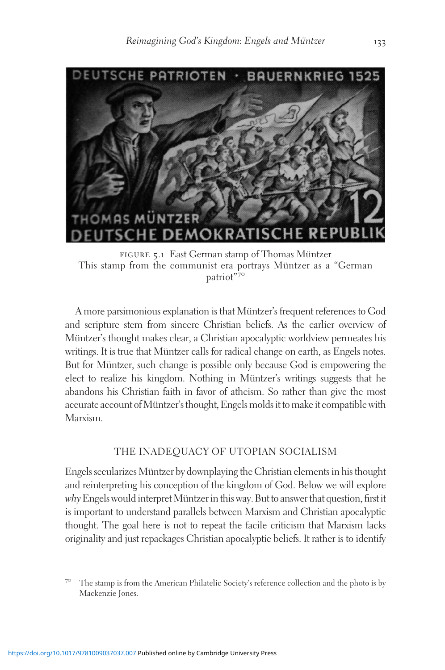

FIGURE 5.1 East German stamp of Thomas Müntzer This stamp from the communist era portrays Müntzer as a "German" patriot"<sup>70</sup>

A more parsimonious explanation is that Müntzer's frequent references to God and scripture stem from sincere Christian beliefs. As the earlier overview of Müntzer's thought makes clear, a Christian apocalyptic worldview permeates his writings. It is true that Müntzer calls for radical change on earth, as Engels notes. But for Müntzer, such change is possible only because God is empowering the elect to realize his kingdom. Nothing in Müntzer's writings suggests that he abandons his Christian faith in favor of atheism. So rather than give the most accurate account of Müntzer's thought, Engels molds it to make it compatible with Marxism.

## THE INADEQUACY OF UTOPIAN SOCIALISM

Engels secularizes Müntzer by downplaying the Christian elements in his thought and reinterpreting his conception of the kingdom of God. Below we will explore  $why$  Engels would interpret Müntzer in this way. But to answer that question, first it is important to understand parallels between Marxism and Christian apocalyptic thought. The goal here is not to repeat the facile criticism that Marxism lacks originality and just repackages Christian apocalyptic beliefs. It rather is to identify

 $7^\circ$  The stamp is from the American Philatelic Society's reference collection and the photo is by Mackenzie Jones.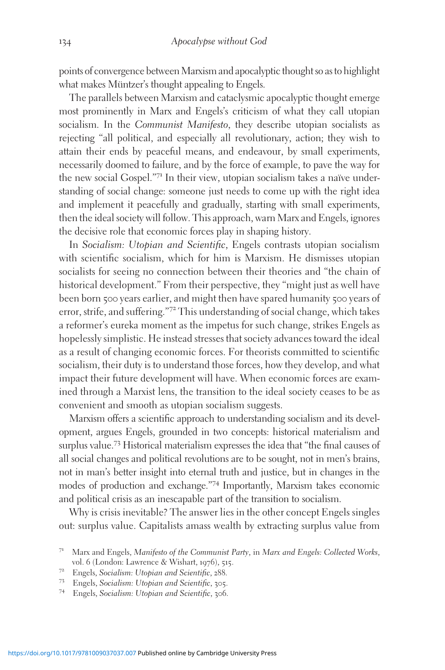points of convergence between Marxism and apocalyptic thought so as to highlight what makes Müntzer's thought appealing to Engels.

The parallels between Marxism and cataclysmic apocalyptic thought emerge most prominently in Marx and Engels's criticism of what they call utopian socialism. In the Communist Manifesto, they describe utopian socialists as rejecting "all political, and especially all revolutionary, action; they wish to attain their ends by peaceful means, and endeavour, by small experiments, necessarily doomed to failure, and by the force of example, to pave the way for the new social Gospel."71 In their view, utopian socialism takes a naïve understanding of social change: someone just needs to come up with the right idea and implement it peacefully and gradually, starting with small experiments, then the ideal society will follow. This approach, warn Marx and Engels, ignores the decisive role that economic forces play in shaping history.

In Socialism: Utopian and Scientific, Engels contrasts utopian socialism with scientific socialism, which for him is Marxism. He dismisses utopian socialists for seeing no connection between their theories and "the chain of historical development." From their perspective, they "might just as well have been born 500 years earlier, and might then have spared humanity 500 years of error, strife, and suffering."<sup>72</sup> This understanding of social change, which takes a reformer's eureka moment as the impetus for such change, strikes Engels as hopelessly simplistic. He instead stresses that society advances toward the ideal as a result of changing economic forces. For theorists committed to scientific socialism, their duty is to understand those forces, how they develop, and what impact their future development will have. When economic forces are examined through a Marxist lens, the transition to the ideal society ceases to be as convenient and smooth as utopian socialism suggests.

Marxism offers a scientific approach to understanding socialism and its development, argues Engels, grounded in two concepts: historical materialism and surplus value.<sup>73</sup> Historical materialism expresses the idea that "the final causes of all social changes and political revolutions are to be sought, not in men's brains, not in man's better insight into eternal truth and justice, but in changes in the modes of production and exchange."<sup>74</sup> Importantly, Marxism takes economic and political crisis as an inescapable part of the transition to socialism.

Why is crisis inevitable? The answer lies in the other concept Engels singles out: surplus value. Capitalists amass wealth by extracting surplus value from

<sup>&</sup>lt;sup>71</sup> Marx and Engels, *Manifesto of the Communist Party*, in *Marx and Engels: Collected Works*, vol. 6 (London: Lawrence & Wishart, 1976), 515.

v<sup>72</sup> Engels, Socialism: Utopian and Scientific, 288.<br><sup>73</sup> Engels, Socialism: Utopian and Scientific, 305.<br><sup>74</sup> Engels, Socialism: Utopian and Scientific, 306.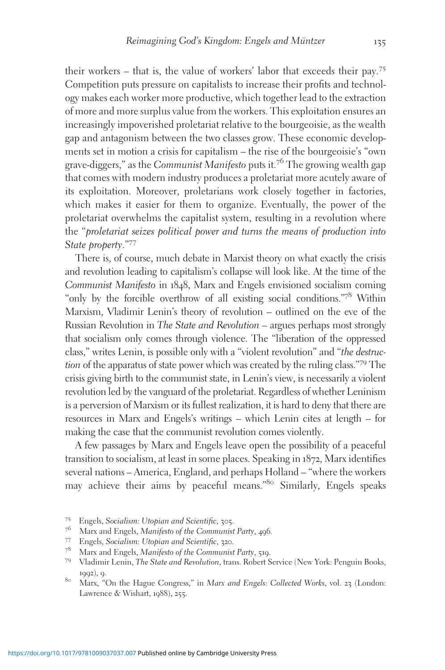their workers – that is, the value of workers' labor that exceeds their pay.<sup>75</sup> Competition puts pressure on capitalists to increase their profits and technology makes each worker more productive, which together lead to the extraction of more and more surplus value from the workers. This exploitation ensures an increasingly impoverished proletariat relative to the bourgeoisie, as the wealth gap and antagonism between the two classes grow. These economic developments set in motion a crisis for capitalism – the rise of the bourgeoisie's "own grave-diggers," as the Communist Manifesto puts it.<sup>76</sup> The growing wealth gap that comes with modern industry produces a proletariat more acutely aware of its exploitation. Moreover, proletarians work closely together in factories, which makes it easier for them to organize. Eventually, the power of the proletariat overwhelms the capitalist system, resulting in a revolution where the "proletariat seizes political power and turns the means of production into State property."<sup>77</sup>

There is, of course, much debate in Marxist theory on what exactly the crisis and revolution leading to capitalism's collapse will look like. At the time of the Communist Manifesto in 1848, Marx and Engels envisioned socialism coming "only by the forcible overthrow of all existing social conditions."<sup>78</sup> Within Marxism, Vladimir Lenin's theory of revolution – outlined on the eve of the Russian Revolution in The State and Revolution – argues perhaps most strongly that socialism only comes through violence. The "liberation of the oppressed class," writes Lenin, is possible only with a "violent revolution" and "the destruction of the apparatus of state power which was created by the ruling class."<sup>79</sup> The crisis giving birth to the communist state, in Lenin's view, is necessarily a violent revolution led by the vanguard of the proletariat. Regardless of whether Leninism is a perversion of Marxism or its fullest realization, it is hard to deny that there are resources in Marx and Engels's writings – which Lenin cites at length – for making the case that the communist revolution comes violently.

A few passages by Marx and Engels leave open the possibility of a peaceful transition to socialism, at least in some places. Speaking in 1872, Marx identifies several nations – America, England, and perhaps Holland – "where the workers may achieve their aims by peaceful means."<sup>80</sup> Similarly, Engels speaks

<sup>&</sup>lt;sup>75</sup> Engels, Socialism: Utopian and Scientific, 305.<br><sup>76</sup> Marx and Engels, Manifesto of the Communist Party, 496.<br><sup>77</sup> Engels, Socialism: Utopian and Scientific, 320.<br><sup>78</sup> Marx and Engels, Manifesto of the Communist Party, 1992), 9.<br><sup>80</sup> Marx, "On the Hague Congress," in *Marx and Engels: Collected Works*, vol. 23 (London:

Lawrence & Wishart, 1988), 255.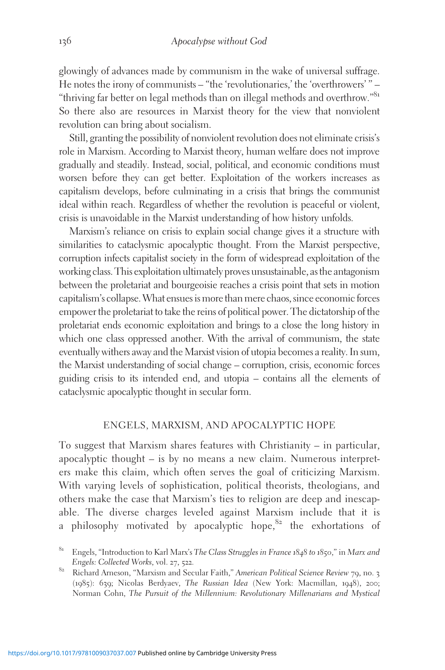glowingly of advances made by communism in the wake of universal suffrage. He notes the irony of communists – "the 'revolutionaries,' the 'overthrowers' " – "thriving far better on legal methods than on illegal methods and overthrow."<sup>81</sup> So there also are resources in Marxist theory for the view that nonviolent revolution can bring about socialism.

Still, granting the possibility of nonviolent revolution does not eliminate crisis's role in Marxism. According to Marxist theory, human welfare does not improve gradually and steadily. Instead, social, political, and economic conditions must worsen before they can get better. Exploitation of the workers increases as capitalism develops, before culminating in a crisis that brings the communist ideal within reach. Regardless of whether the revolution is peaceful or violent, crisis is unavoidable in the Marxist understanding of how history unfolds.

Marxism's reliance on crisis to explain social change gives it a structure with similarities to cataclysmic apocalyptic thought. From the Marxist perspective, corruption infects capitalist society in the form of widespread exploitation of the working class. This exploitation ultimately proves unsustainable, asthe antagonism between the proletariat and bourgeoisie reaches a crisis point that sets in motion capitalism's collapse.What ensues is morethan mere chaos, since economic forces empower the proletariat to take the reins of political power. The dictatorship of the proletariat ends economic exploitation and brings to a close the long history in which one class oppressed another. With the arrival of communism, the state eventually withers away and the Marxist vision of utopia becomes a reality. In sum, the Marxist understanding of social change – corruption, crisis, economic forces guiding crisis to its intended end, and utopia – contains all the elements of cataclysmic apocalyptic thought in secular form.

#### ENGELS, MARXISM, AND APOCALYPTIC HOPE

To suggest that Marxism shares features with Christianity – in particular, apocalyptic thought – is by no means a new claim. Numerous interpreters make this claim, which often serves the goal of criticizing Marxism. With varying levels of sophistication, political theorists, theologians, and others make the case that Marxism's ties to religion are deep and inescapable. The diverse charges leveled against Marxism include that it is a philosophy motivated by apocalyptic hope, $82$  the exhortations of

<sup>&</sup>lt;sup>81</sup> Engels, "Introduction to Karl Marx's The Class Struggles in France 1848 to 1850," in Marx and

Engels: Collected Works, vol. 27, 522.<br><sup>82</sup> Richard Arneson, "Marxism and Secular Faith," American Political Science Review 79, no. 3 (1985): 639; Nicolas Berdyaev, The Russian Idea (New York: Macmillan, 1948), 200; Norman Cohn, The Pursuit of the Millennium: Revolutionary Millenarians and Mystical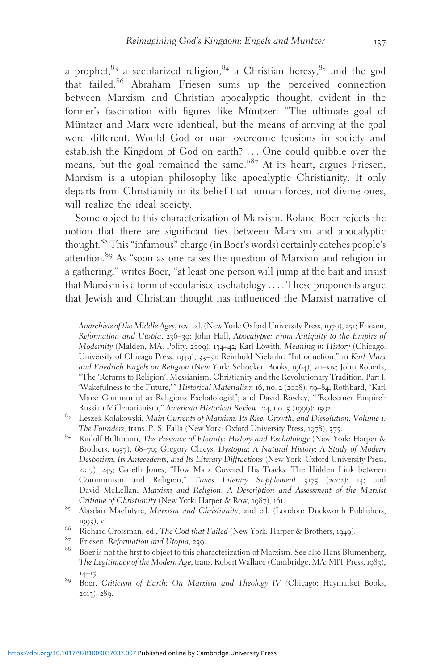a prophet, $83$  a secularized religion,  $84$  a Christian heresy,  $85$  and the god that failed.<sup>86</sup> Abraham Friesen sums up the perceived connection between Marxism and Christian apocalyptic thought, evident in the former's fascination with figures like Müntzer: "The ultimate goal of Müntzer and Marx were identical, but the means of arriving at the goal were different. Would God or man overcome tensions in society and establish the Kingdom of God on earth? ... One could quibble over the means, but the goal remained the same."<sup>87</sup> At its heart, argues Friesen, Marxism is a utopian philosophy like apocalyptic Christianity. It only departs from Christianity in its belief that human forces, not divine ones, will realize the ideal society.

Some object to this characterization of Marxism. Roland Boer rejects the notion that there are significant ties between Marxism and apocalyptic thought.<sup>88</sup> This "infamous" charge (in Boer's words) certainly catches people's attention.<sup>89</sup> As "soon as one raises the question of Marxism and religion in a gathering," writes Boer, "at least one person will jump at the bait and insist that Marxism is a form of secularised eschatology ... . These proponents argue that Jewish and Christian thought has influenced the Marxist narrative of

Anarchists of the Middle Ages, rev. ed. (New York: Oxford University Press, 1970), 251; Friesen, Reformation and Utopia, 236–39; John Hall, Apocalypse: From Antiquity to the Empire of Modernity (Malden, MA: Polity, 2009), 134–42; Karl Löwith, Meaning in History (Chicago: University of Chicago Press, 1949), 33–51; Reinhold Niebuhr, "Introduction," in Karl Marx and Friedrich Engels on Religion (New York: Schocken Books, 1964), vii–xiv; John Roberts, "The 'Returns to Religion': Messianism, Christianity and the Revolutionary Tradition. Part I: 'Wakefulness to the Future,'" Historical Materialism 16, no. 2 (2008): 59-84; Rothbard, "Karl Marx: Communist as Religious Eschatologist"; and David Rowley, "'Redeemer Empire': Russian Millenarianism," American Historical Review 104, no. 5 (1999): 1592.

- <sup>83</sup> Leszek Kolakowski, Main Currents of Marxism: Its Rise, Growth, and Dissolution. Volume 1: The Founders, trans. P. S. Falla (New York: Oxford University Press, 1978), 375.<br><sup>84</sup> Rudolf Bultmann, The Presence of Eternity: History and Eschatology (New York: Harper &
- Brothers, 1957), 68–70; Gregory Claeys, Dystopia: A Natural History: A Study of Modern Despotism, Its Antecedents, and Its Literary Diffractions (New York: Oxford University Press, 2017), 245; Gareth Jones, "How Marx Covered His Tracks: The Hidden Link between Communism and Religion," Times Literary Supplement 5175 (2002): 14; and David McLellan, Marxism and Religion: A Description and Assessment of the Marxist
- Critique of Christianity (New York: Harper & Row, 1987), 161.<br><sup>85</sup> Alasdair MacIntyre, *Marxism and Christianity*, 2nd ed. (London: Duckworth Publishers, 1995), vi.<br><sup>86</sup> Richard Crossman, ed., *The God that Failed* (New York: Harper & Brothers, 1949).<br><sup>87</sup> Existent Reformation and Utobia. 220.
- 
- 
- Friesen, Reformation and Utopia, 239.<br>Boer is not the first to object to this characterization of Marxism. See also Hans Blumenberg, The Legitimacy of the Modern Age, trans. Robert Wallace (Cambridge, MA: MIT Press, 1983), <sup>14</sup>–15. <sup>89</sup> Boer, Criticism of Earth: On Marxism and Theology IV (Chicago: Haymarket Books,
- 2013), 289.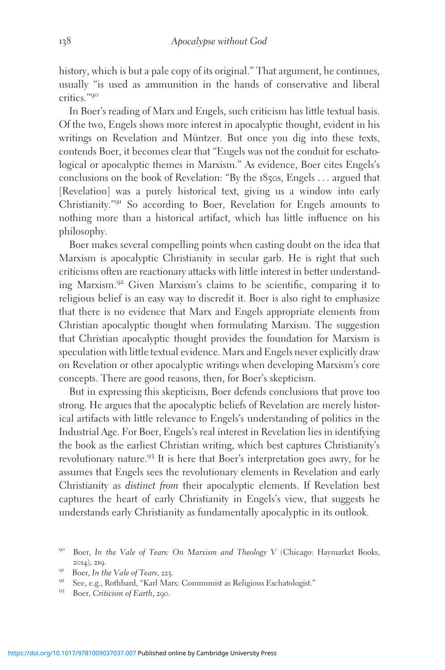history, which is but a pale copy of its original." That argument, he continues, usually "is used as ammunition in the hands of conservative and liberal critics."<sup>90</sup>

In Boer's reading of Marx and Engels, such criticism has little textual basis. Of the two, Engels shows more interest in apocalyptic thought, evident in his writings on Revelation and Müntzer. But once you dig into these texts, contends Boer, it becomes clear that "Engels was not the conduit for eschatological or apocalyptic themes in Marxism." As evidence, Boer cites Engels's conclusions on the book of Revelation: "By the 1850s, Engels ... argued that [Revelation] was a purely historical text, giving us a window into early Christianity."<sup>91</sup> So according to Boer, Revelation for Engels amounts to nothing more than a historical artifact, which has little influence on his philosophy.

Boer makes several compelling points when casting doubt on the idea that Marxism is apocalyptic Christianity in secular garb. He is right that such criticisms often are reactionary attacks with little interest in better understanding Marxism.<sup>92</sup> Given Marxism's claims to be scientific, comparing it to religious belief is an easy way to discredit it. Boer is also right to emphasize that there is no evidence that Marx and Engels appropriate elements from Christian apocalyptic thought when formulating Marxism. The suggestion that Christian apocalyptic thought provides the foundation for Marxism is speculation with little textual evidence. Marx and Engels never explicitly draw on Revelation or other apocalyptic writings when developing Marxism's core concepts. There are good reasons, then, for Boer's skepticism.

But in expressing this skepticism, Boer defends conclusions that prove too strong. He argues that the apocalyptic beliefs of Revelation are merely historical artifacts with little relevance to Engels's understanding of politics in the Industrial Age. For Boer, Engels's real interest in Revelation lies in identifying the book as the earliest Christian writing, which best captures Christianity's revolutionary nature.<sup>93</sup> It is here that Boer's interpretation goes awry, for he assumes that Engels sees the revolutionary elements in Revelation and early Christianity as distinct from their apocalyptic elements. If Revelation best captures the heart of early Christianity in Engels's view, that suggests he understands early Christianity as fundamentally apocalyptic in its outlook.

<sup>90</sup> Boer, In the Vale of Tears: On Marxism and Theology V (Chicago: Haymarket Books,

<sup>2014), 219.&</sup>lt;br><sup>91</sup> Boer, In the Vale of Tears, 225.<br><sup>92</sup> See, e.g., Rothbard, "Karl Marx: Communist as Religious Eschatologist."<br><sup>93</sup> Boer, *Criticism of Earth*, 290.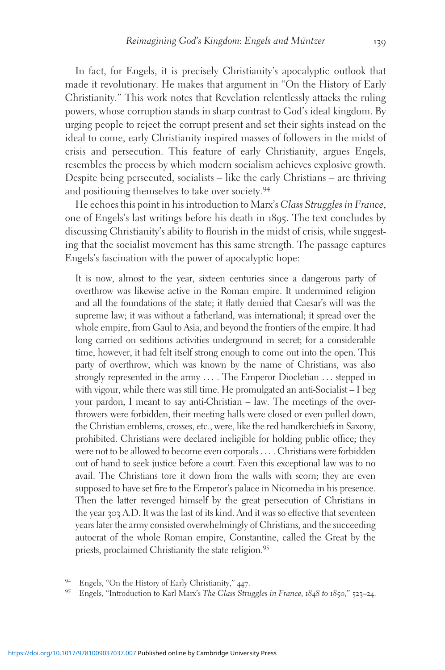In fact, for Engels, it is precisely Christianity's apocalyptic outlook that made it revolutionary. He makes that argument in "On the History of Early Christianity." This work notes that Revelation relentlessly attacks the ruling powers, whose corruption stands in sharp contrast to God's ideal kingdom. By urging people to reject the corrupt present and set their sights instead on the ideal to come, early Christianity inspired masses of followers in the midst of crisis and persecution. This feature of early Christianity, argues Engels, resembles the process by which modern socialism achieves explosive growth. Despite being persecuted, socialists – like the early Christians – are thriving and positioning themselves to take over society.<sup>94</sup>

He echoes this point in his introduction to Marx's Class Struggles in France, one of Engels's last writings before his death in 1895. The text concludes by discussing Christianity's ability to flourish in the midst of crisis, while suggesting that the socialist movement has this same strength. The passage captures Engels's fascination with the power of apocalyptic hope:

It is now, almost to the year, sixteen centuries since a dangerous party of overthrow was likewise active in the Roman empire. It undermined religion and all the foundations of the state; it flatly denied that Caesar's will was the supreme law; it was without a fatherland, was international; it spread over the whole empire, from Gaul to Asia, and beyond the frontiers of the empire. It had long carried on seditious activities underground in secret; for a considerable time, however, it had felt itself strong enough to come out into the open. This party of overthrow, which was known by the name of Christians, was also strongly represented in the army ... . The Emperor Diocletian ... stepped in with vigour, while there was still time. He promulgated an anti-Socialist – I beg your pardon, I meant to say anti-Christian – law. The meetings of the overthrowers were forbidden, their meeting halls were closed or even pulled down, the Christian emblems, crosses, etc., were, like the red handkerchiefs in Saxony, prohibited. Christians were declared ineligible for holding public office; they were not to be allowed to become even corporals ... . Christians were forbidden out of hand to seek justice before a court. Even this exceptional law was to no avail. The Christians tore it down from the walls with scorn; they are even supposed to have set fire to the Emperor's palace in Nicomedia in his presence. Then the latter revenged himself by the great persecution of Christians in the year 303 A.D. It was the last of its kind. And it was so effective that seventeen years later the army consisted overwhelmingly of Christians, and the succeeding autocrat of the whole Roman empire, Constantine, called the Great by the priests, proclaimed Christianity the state religion.<sup>95</sup>

<sup>&</sup>lt;sup>94</sup> Engels, "On the History of Early Christianity,"  $447$ .<br><sup>95</sup> Engels, "Introduction to Karl Marx's *The Class Struggles in France*, 1848 to 1850," 523–24.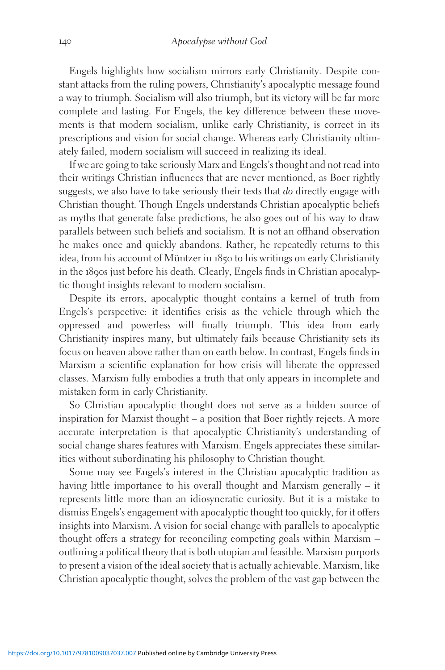Engels highlights how socialism mirrors early Christianity. Despite constant attacks from the ruling powers, Christianity's apocalyptic message found a way to triumph. Socialism will also triumph, but its victory will be far more complete and lasting. For Engels, the key difference between these movements is that modern socialism, unlike early Christianity, is correct in its prescriptions and vision for social change. Whereas early Christianity ultimately failed, modern socialism will succeed in realizing its ideal.

If we are going to take seriously Marx and Engels's thought and not read into their writings Christian influences that are never mentioned, as Boer rightly suggests, we also have to take seriously their texts that do directly engage with Christian thought. Though Engels understands Christian apocalyptic beliefs as myths that generate false predictions, he also goes out of his way to draw parallels between such beliefs and socialism. It is not an offhand observation he makes once and quickly abandons. Rather, he repeatedly returns to this idea, from his account of Müntzer in  $185$  to his writings on early Christianity in the 1890s just before his death. Clearly, Engels finds in Christian apocalyptic thought insights relevant to modern socialism.

Despite its errors, apocalyptic thought contains a kernel of truth from Engels's perspective: it identifies crisis as the vehicle through which the oppressed and powerless will finally triumph. This idea from early Christianity inspires many, but ultimately fails because Christianity sets its focus on heaven above rather than on earth below. In contrast, Engels finds in Marxism a scientific explanation for how crisis will liberate the oppressed classes. Marxism fully embodies a truth that only appears in incomplete and mistaken form in early Christianity.

So Christian apocalyptic thought does not serve as a hidden source of inspiration for Marxist thought – a position that Boer rightly rejects. A more accurate interpretation is that apocalyptic Christianity's understanding of social change shares features with Marxism. Engels appreciates these similarities without subordinating his philosophy to Christian thought.

Some may see Engels's interest in the Christian apocalyptic tradition as having little importance to his overall thought and Marxism generally – it represents little more than an idiosyncratic curiosity. But it is a mistake to dismiss Engels's engagement with apocalyptic thought too quickly, for it offers insights into Marxism. A vision for social change with parallels to apocalyptic thought offers a strategy for reconciling competing goals within Marxism – outlining a political theory that is both utopian and feasible. Marxism purports to present a vision of the ideal society that is actually achievable. Marxism, like Christian apocalyptic thought, solves the problem of the vast gap between the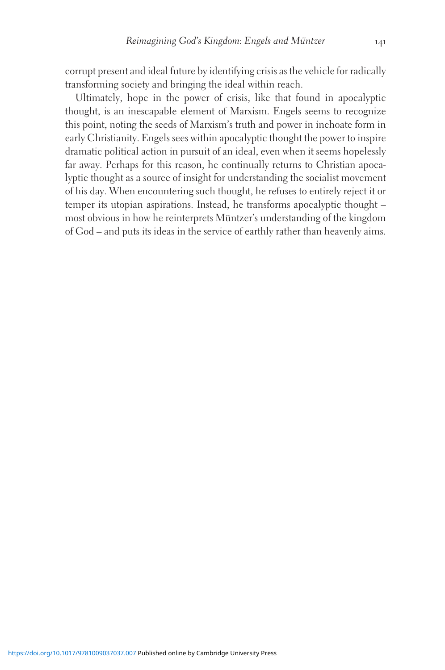corrupt present and ideal future by identifying crisis as the vehicle for radically transforming society and bringing the ideal within reach.

Ultimately, hope in the power of crisis, like that found in apocalyptic thought, is an inescapable element of Marxism. Engels seems to recognize this point, noting the seeds of Marxism's truth and power in inchoate form in early Christianity. Engels sees within apocalyptic thought the power to inspire dramatic political action in pursuit of an ideal, even when it seems hopelessly far away. Perhaps for this reason, he continually returns to Christian apocalyptic thought as a source of insight for understanding the socialist movement of his day. When encountering such thought, he refuses to entirely reject it or temper its utopian aspirations. Instead, he transforms apocalyptic thought – most obvious in how he reinterprets Müntzer's understanding of the kingdom of God – and puts its ideas in the service of earthly rather than heavenly aims.